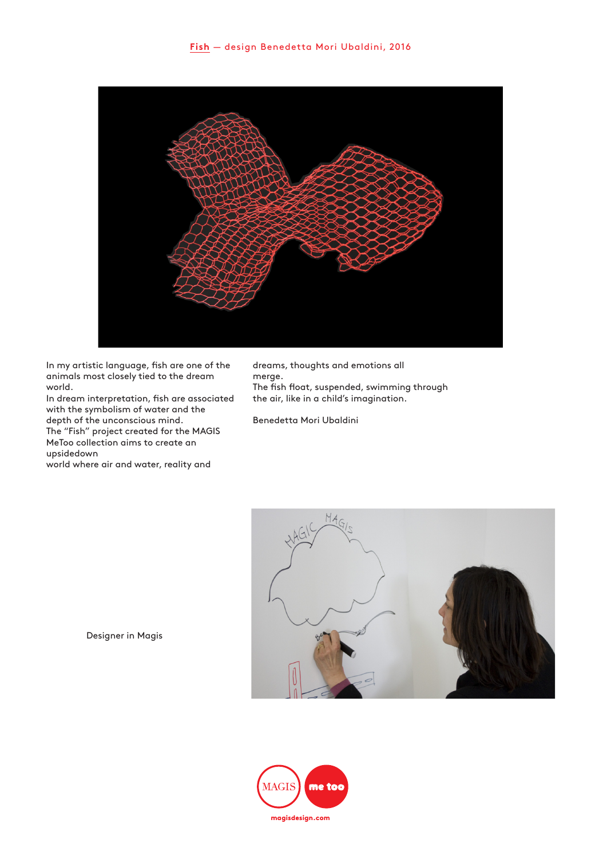

In my artistic language, fish are one of the animals most closely tied to the dream world.

In dream interpretation, fish are associated with the symbolism of water and the depth of the unconscious mind. The "Fish" project created for the MAGIS MeToo collection aims to create an upsidedown

world where air and water, reality and

dreams, thoughts and emotions all merge. The fish float, suspended, swimming through the air, like in a child's imagination.

Benedetta Mori Ubaldini



Designer in Magis

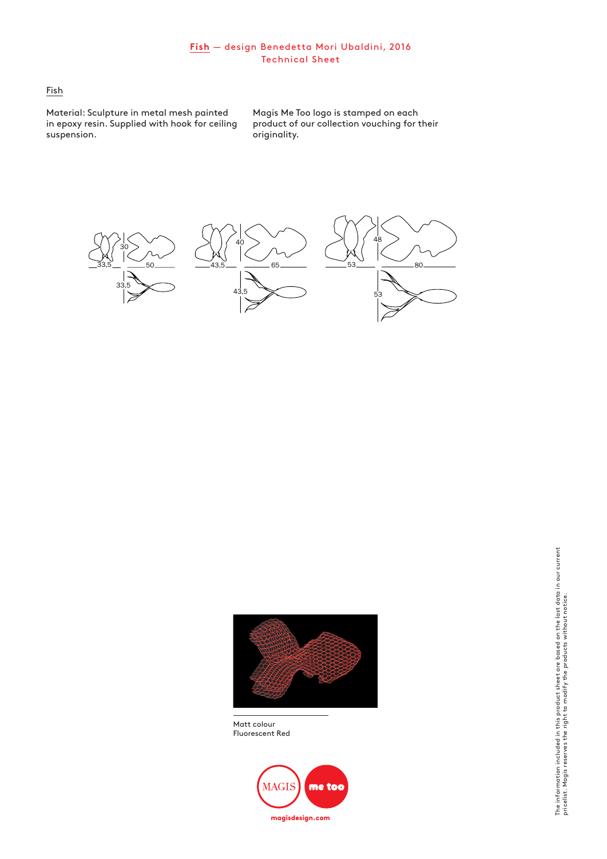## Fish

Material: Sculpture in metal mesh painted in epoxy resin. Supplied with hook for ceiling suspension.

Magis Me Too logo is stamped on each product of our collection vouching for their originality.





Matt colour Fluorescent Red